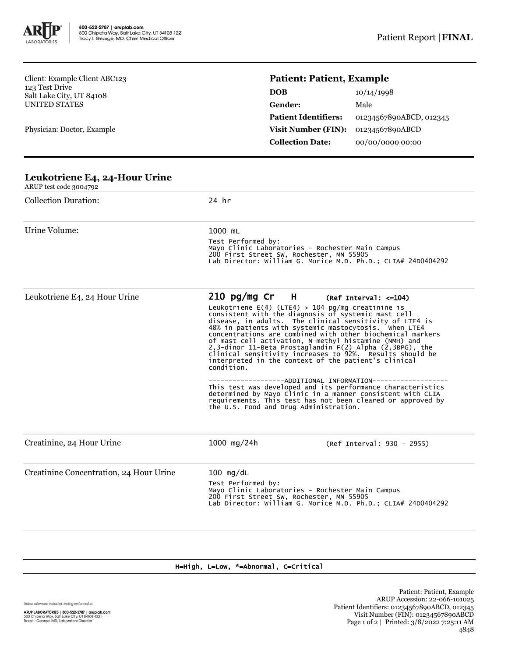

Client: Example Client ABC123 123 Test Drive Salt Lake City, UT 84108 UNITED STATES

Physician: Doctor, Example

## **Patient: Patient, Example**

| <b>DOB</b>                  | 10/14/1998              |
|-----------------------------|-------------------------|
| Gender:                     | Male                    |
| <b>Patient Identifiers:</b> | 01234567890ABCD, 012345 |
| Visit Number (FIN):         | 01234567890ABCD         |
| <b>Collection Date:</b>     | 00/00/0000 00:00        |

| Leukotriene E4, 24-Hour Urine<br>ARUP test code 3004792 |                                                                                                                                                                                               |                                                                                                                                                                                                                                                                                                                                                                                                                                                                                                                                                                                                                                                                                                                                                                                                               |  |  |
|---------------------------------------------------------|-----------------------------------------------------------------------------------------------------------------------------------------------------------------------------------------------|---------------------------------------------------------------------------------------------------------------------------------------------------------------------------------------------------------------------------------------------------------------------------------------------------------------------------------------------------------------------------------------------------------------------------------------------------------------------------------------------------------------------------------------------------------------------------------------------------------------------------------------------------------------------------------------------------------------------------------------------------------------------------------------------------------------|--|--|
| <b>Collection Duration:</b>                             | 24 hr                                                                                                                                                                                         |                                                                                                                                                                                                                                                                                                                                                                                                                                                                                                                                                                                                                                                                                                                                                                                                               |  |  |
| Urine Volume:                                           | 1000 mL<br>Test Performed by:<br>Mayo Clinic Laboratories - Rochester Main Campus<br>200 First Street SW, Rochester, MN 55905<br>Lab Director: William G. Morice M.D. Ph.D.; CLIA# 24D0404292 |                                                                                                                                                                                                                                                                                                                                                                                                                                                                                                                                                                                                                                                                                                                                                                                                               |  |  |
| Leukotriene E4, 24 Hour Urine                           | $210 \text{ pg/mg}$ Cr H<br>condition.<br>the U.S. Food and Drug Administration.                                                                                                              | $(Ref Interval: <=104)$<br>Leukotriene $E(4)$ (LTE4) > 104 pg/mg creatinine is<br>consistent with the diagnosis of systemic mast cell<br>disease, in adults. The clinical sensitivity of LTE4 is<br>48% in patients with systemic mastocytosis. When LTE4<br>concentrations are combined with other biochemical markers<br>of mast cell activation, N-methyl histamine (NMH) and<br>2,3-dinor 11-Beta Prostaglandin F(2) Alpha (2,3BPG), the<br>clinical sensitivity increases to 92%. Results should be<br>interpreted in the context of the patient's clinical<br>------------ADDITIONAL INFORMATION-----------<br>This test was developed and its performance characteristics<br>determined by Mayo Clinic in a manner consistent with CLIA<br>requirements. This test has not been cleared or approved by |  |  |
| Creatinine, 24 Hour Urine                               | 1000 mg/24h                                                                                                                                                                                   | (Ref Interval: 930 - 2955)                                                                                                                                                                                                                                                                                                                                                                                                                                                                                                                                                                                                                                                                                                                                                                                    |  |  |
| Creatinine Concentration, 24 Hour Urine                 | $100$ mg/dL<br>Test Performed by:                                                                                                                                                             | Mayo Clinic Laboratories - Rochester Main Campus<br>200 First Street SW, Rochester, MN 55905<br>Lab Director: William G. Morice M.D. Ph.D.; CLIA# 24D0404292                                                                                                                                                                                                                                                                                                                                                                                                                                                                                                                                                                                                                                                  |  |  |

## H=High, L=Low, \*=Abnormal, C=Critical

Unless otherwise indicated, testing performed at: